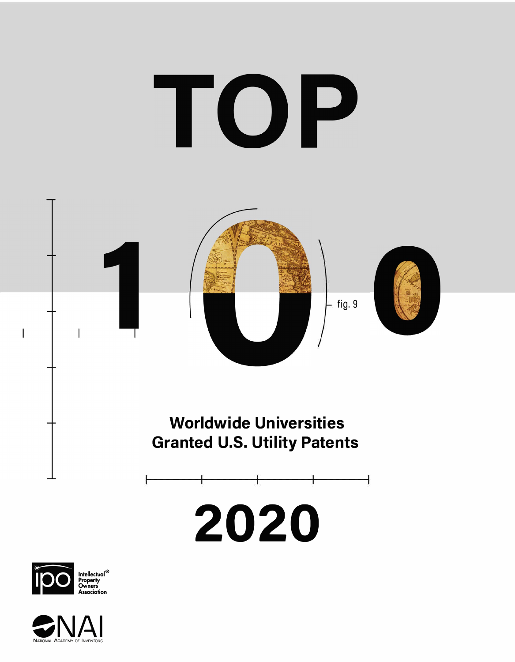

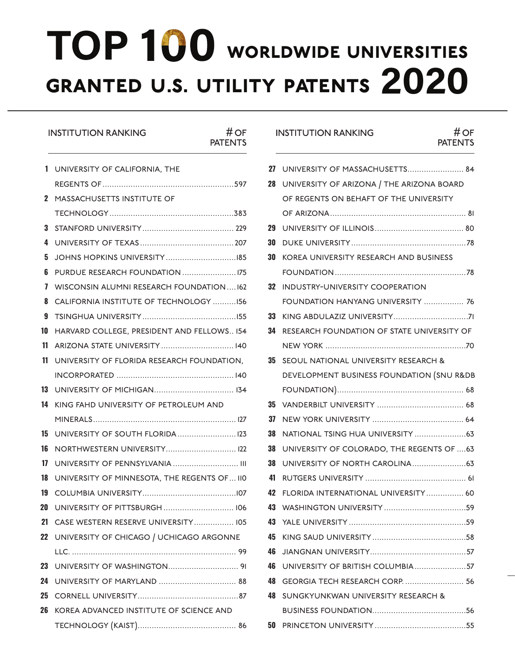# granted u.s. utility patents **2020** TOP 100 WORLDWIDE UNIVERSITIES

## INSTITUTION RANKING # OF

**PATENTS** 

| 1  | UNIVERSITY OF CALIFORNIA, THE               |
|----|---------------------------------------------|
|    |                                             |
| 2  | MASSACHUSETTS INSTITUTE OF                  |
|    |                                             |
| 3  |                                             |
| 4  |                                             |
| 5  |                                             |
| 6  |                                             |
| 7  | WISCONSIN ALUMNI RESEARCH FOUNDATION 162    |
| 8  | CALIFORNIA INSTITUTE OF TECHNOLOGY 156      |
| 9  |                                             |
| 10 | HARVARD COLLEGE, PRESIDENT AND FELLOWS 154  |
| 11 | ARIZONA STATE UNIVERSITY 140                |
| 11 | UNIVERSITY OF FLORIDA RESEARCH FOUNDATION,  |
|    |                                             |
| 13 |                                             |
| 14 | KING FAHD UNIVERSITY OF PETROLEUM AND       |
|    |                                             |
| 15 | UNIVERSITY OF SOUTH FLORIDA  123            |
| 16 | NORTHWESTERN UNIVERSITY 122                 |
| 17 |                                             |
| 18 | UNIVERSITY OF MINNESOTA, THE REGENTS OF 110 |
| 19 |                                             |
| 20 |                                             |
| 21 | CASE WESTERN RESERVE UNIVERSITY 105         |
| 22 | UNIVERSITY OF CHICAGO / UCHICAGO ARGONNE    |
|    |                                             |
| 23 |                                             |
| 24 |                                             |
| 25 |                                             |
| 26 | KOREA ADVANCED INSTITUTE OF SCIENCE AND     |
|    |                                             |
|    |                                             |

### INSTITUTION RANKING # OF

## **PATENTS**

|    | 27 UNIVERSITY OF MASSACHUSETTS 84          |
|----|--------------------------------------------|
| 28 | UNIVERSITY OF ARIZONA / THE ARIZONA BOARD  |
|    | OF REGENTS ON BEHAFT OF THE UNIVERSITY     |
|    |                                            |
| 29 |                                            |
| 30 |                                            |
| 30 | KOREA UNIVERSITY RESEARCH AND BUSINESS     |
|    |                                            |
| 32 | <b>INDUSTRY-UNIVERSITY COOPERATION</b>     |
|    | FOUNDATION HANYANG UNIVERSITY  76          |
| 33 |                                            |
| 34 | RESEARCH FOUNDATION OF STATE UNIVERSITY OF |
|    |                                            |
| 35 | SEOUL NATIONAL UNIVERSITY RESEARCH &       |
|    | DEVELOPMENT BUSINESS FOUNDATION (SNU R&DB  |
|    |                                            |
| 35 |                                            |
| 37 |                                            |
| 38 |                                            |
| 38 | UNIVERSITY OF COLORADO, THE REGENTS OF  63 |
| 38 |                                            |
| 41 |                                            |
| 42 | FLORIDA INTERNATIONAL UNIVERSITY 60        |
| 43 |                                            |
| 43 |                                            |
| 45 |                                            |
| 46 |                                            |
| 46 | UNIVERSITY OF BRITISH COLUMBIA57           |
| 48 | GEORGIA TECH RESEARCH CORP.  56            |
| 48 | SUNGKYUNKWAN UNIVERSITY RESEARCH &         |
|    |                                            |
| 50 |                                            |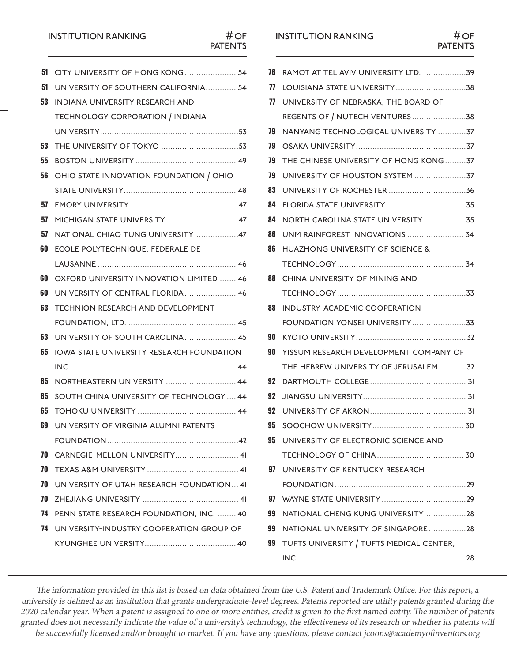### **INSTITUTION RANKING**

| <b>INSTITUTION RANKING</b> | #OF            |
|----------------------------|----------------|
|                            | <b>PATENTS</b> |
|                            |                |

| 51 | CITY UNIVERSITY OF HONG KONG 54           |
|----|-------------------------------------------|
| 51 | UNIVERSITY OF SOUTHERN CALIFORNIA 54      |
| 53 | INDIANA UNIVERSITY RESEARCH AND           |
|    | TECHNOLOGY CORPORATION / INDIANA          |
|    |                                           |
| 53 |                                           |
| 55 |                                           |
| 56 | OHIO STATE INNOVATION FOUNDATION / OHIO   |
|    |                                           |
| 57 |                                           |
| 57 |                                           |
| 57 | NATIONAL CHIAO TUNG UNIVERSITY47          |
| 60 | ECOLE POLYTECHNIQUE, FEDERALE DE          |
|    |                                           |
| 60 | OXFORD UNIVERSITY INNOVATION LIMITED  46  |
| 60 | UNIVERSITY OF CENTRAL FLORIDA 46          |
| 63 | <b>TECHNION RESEARCH AND DEVELOPMENT</b>  |
|    |                                           |
| 63 | UNIVERSITY OF SOUTH CAROLINA 45           |
| 65 | IOWA STATE UNIVERSITY RESEARCH FOUNDATION |
|    |                                           |
| 65 | NORTHEASTERN UNIVERSITY  44               |
| 65 | SOUTH CHINA UNIVERSITY OF TECHNOLOGY  44  |
| 65 |                                           |
| 69 | UNIVERSITY OF VIRGINIA ALUMNI PATENTS     |
|    |                                           |
| 70 | CARNEGIE-MELLON UNIVERSITY 41             |
| 70 |                                           |
| 70 | UNIVERSITY OF UTAH RESEARCH FOUNDATION 41 |
| 70 |                                           |
| 74 | PENN STATE RESEARCH FOUNDATION, INC.  40  |
| 74 | UNIVERSITY-INDUSTRY COOPERATION GROUP OF  |
|    |                                           |
|    |                                           |
|    |                                           |

## INSTITUTION RANKING # OF<br>PATENTS

| 76 | RAMOT AT TEL AVIV UNIVERSITY LTD. 39           |
|----|------------------------------------------------|
| 77 |                                                |
| 77 | UNIVERSITY OF NEBRASKA, THE BOARD OF           |
|    |                                                |
| 79 | NANYANG TECHNOLOGICAL UNIVERSITY 37            |
| 79 |                                                |
| 79 | THE CHINESE UNIVERSITY OF HONG KONG37          |
| 79 |                                                |
| 83 |                                                |
| 84 |                                                |
| 84 | NORTH CAROLINA STATE UNIVERSITY 35             |
| 86 | UNM RAINFOREST INNOVATIONS  34                 |
| 86 | <b>HUAZHONG UNIVERSITY OF SCIENCE &amp;</b>    |
|    |                                                |
| 88 | CHINA UNIVERSITY OF MINING AND                 |
|    |                                                |
| 88 | INDUSTRY-ACADEMIC COOPERATION                  |
|    | FOUNDATION YONSEI UNIVERSITY33                 |
| 90 |                                                |
| 90 | YISSUM RESEARCH DEVELOPMENT COMPANY OF         |
|    | THE HEBREW UNIVERSITY OF JERUSALEM32           |
| 92 |                                                |
| 92 |                                                |
| 92 |                                                |
|    | 95 SOOCHOW UNIVERSITY.                         |
|    | <b>95 UNIVERSITY OF ELECTRONIC SCIENCE AND</b> |
|    |                                                |
|    | 97 UNIVERSITY OF KENTUCKY RESEARCH             |
|    |                                                |
| 97 |                                                |
| 99 | NATIONAL CHENG KUNG UNIVERSITY28               |
|    | 99 NATIONAL UNIVERSITY OF SINGAPORE28          |
|    | 99 TUFTS UNIVERSITY / TUFTS MEDICAL CENTER,    |
|    |                                                |

The information provided in this list is based on data obtained from the U.S. Patent and Trademark Office. For this report, a university is defined as an institution that grants undergraduate-level degrees. Patents reported are utility patents granted during the 2020 calendar year. When a patent is assigned to one or more entities, credit is given to the first named entity. The number of patents granted does not necessarily indicate the value of a university's technology, the effectiveness of its research or whether its patents will be successfully licensed and/or brought to market. If you have any questions, please contact [jcoons@academyofinventors.org](mailto:jcoons@academyofinventors.org)